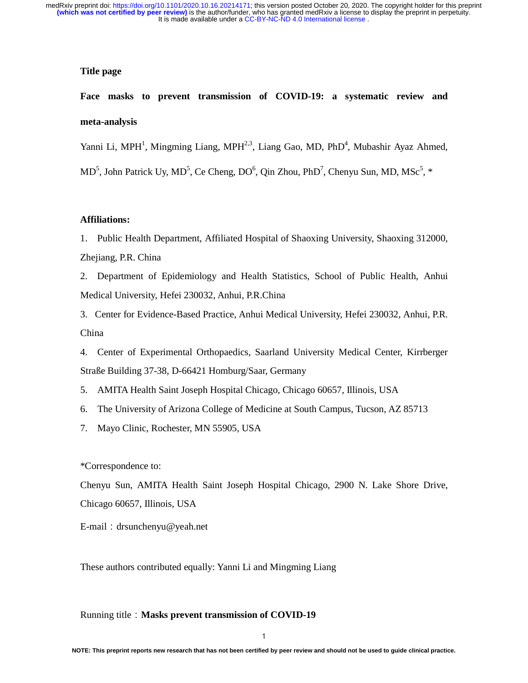## **Title page**

**Face masks to prevent transmission of COVID-19: a systematic review and meta-analysis** 

Yanni Li, MPH<sup>1</sup>, Mingming Liang, MPH<sup>2,3</sup>, Liang Gao, MD, PhD<sup>4</sup>, Mubashir Ayaz Ahmed,

 $MD<sup>5</sup>$ , John Patrick Uy, MD<sup>5</sup>, Ce Cheng, DO<sup>6</sup>, Qin Zhou, PhD<sup>7</sup>, Chenyu Sun, MD, MSc<sup>5</sup>, \*

#### **Affiliations:**

1. Public Health Department, Affiliated Hospital of Shaoxing University, Shaoxing 312000, Zhejiang, P.R. China

2. Department of Epidemiology and Health Statistics, School of Public Health, Anhui Medical University, Hefei 230032, Anhui, P.R.China

3. Center for Evidence-Based Practice, Anhui Medical University, Hefei 230032, Anhui, P.R. China

4. Center of Experimental Orthopaedics, Saarland University Medical Center, Kirrberger Straße Building 37-38, D-66421 Homburg/Saar, Germany

5. AMITA Health Saint Joseph Hospital Chicago, Chicago 60657, Illinois, USA

6. The University of Arizona College of Medicine at South Campus, Tucson, AZ 85713

7. Mayo Clinic, Rochester, MN 55905, USA

\*Correspondence to:

Chenyu Sun, AMITA Health Saint Joseph Hospital Chicago, 2900 N. Lake Shore Drive, Chicago 60657, Illinois, USA

E-mail:drsunchenyu@yeah.net

These authors contributed equally: Yanni Li and Mingming Liang

#### Running title:**Masks prevent transmission of COVID-19**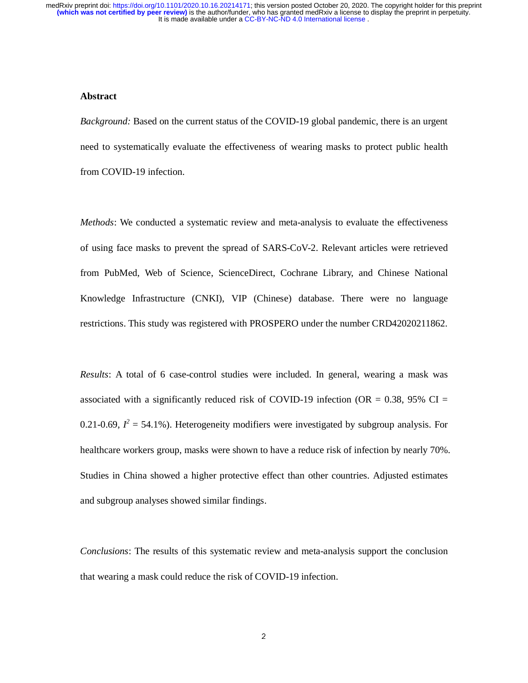#### **Abstract**

*Background:* Based on the current status of the COVID-19 global pandemic, there is an urgent need to systematically evaluate the effectiveness of wearing masks to protect public health from COVID-19 infection.

*Methods*: We conducted a systematic review and meta-analysis to evaluate the effectiveness of using face masks to prevent the spread of SARS-CoV-2. Relevant articles were retrieved from PubMed, Web of Science, ScienceDirect, Cochrane Library, and Chinese National Knowledge Infrastructure (CNKI), VIP (Chinese) database. There were no language restrictions. This study was registered with PROSPERO under the number CRD42020211862.

*Results*: A total of 6 case-control studies were included. In general, wearing a mask was associated with a significantly reduced risk of COVID-19 infection (OR =  $0.38$ , 95% CI = 0.21-0.69,  $I^2 = 54.1\%$ ). Heterogeneity modifiers were investigated by subgroup analysis. For healthcare workers group, masks were shown to have a reduce risk of infection by nearly 70%. Studies in China showed a higher protective effect than other countries. Adjusted estimates and subgroup analyses showed similar findings.

*Conclusions*: The results of this systematic review and meta-analysis support the conclusion that wearing a mask could reduce the risk of COVID-19 infection.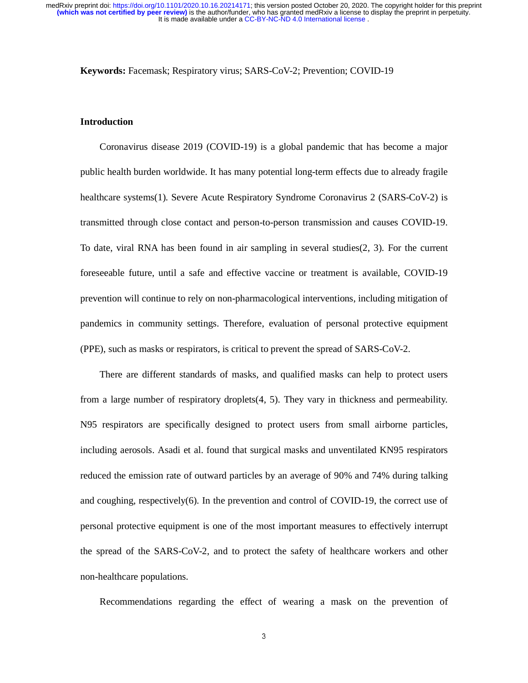**Keywords:** Facemask; Respiratory virus; SARS-CoV-2; Prevention; COVID-19

## **Introduction**

Coronavirus disease 2019 (COVID-19) is a global pandemic that has become a major public health burden worldwide. It has many potential long-term effects due to already fragile healthcare systems(1). Severe Acute Respiratory Syndrome Coronavirus 2 (SARS-CoV-2) is transmitted through close contact and person-to-person transmission and causes COVID-19. To date, viral RNA has been found in air sampling in several studies(2, 3). For the current foreseeable future, until a safe and effective vaccine or treatment is available, COVID-19 prevention will continue to rely on non-pharmacological interventions, including mitigation of pandemics in community settings. Therefore, evaluation of personal protective equipment (PPE), such as masks or respirators, is critical to prevent the spread of SARS-CoV-2.

There are different standards of masks, and qualified masks can help to protect users from a large number of respiratory droplets(4, 5). They vary in thickness and permeability. N95 respirators are specifically designed to protect users from small airborne particles, including aerosols. Asadi et al. found that surgical masks and unventilated KN95 respirators reduced the emission rate of outward particles by an average of 90% and 74% during talking and coughing, respectively(6). In the prevention and control of COVID-19, the correct use of personal protective equipment is one of the most important measures to effectively interrupt the spread of the SARS-CoV-2, and to protect the safety of healthcare workers and other non-healthcare populations.

Recommendations regarding the effect of wearing a mask on the prevention of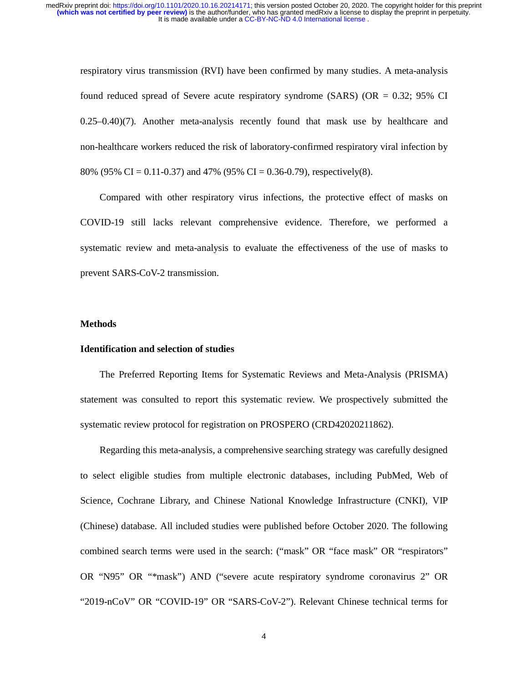respiratory virus transmission (RVI) have been confirmed by many studies. A meta-analysis found reduced spread of Severe acute respiratory syndrome (SARS) (OR  $= 0.32$ ; 95% CI 0.25–0.40)(7). Another meta-analysis recently found that mask use by healthcare and non-healthcare workers reduced the risk of laboratory-confirmed respiratory viral infection by 80% (95% CI = 0.11-0.37) and 47% (95% CI = 0.36-0.79), respectively(8).

Compared with other respiratory virus infections, the protective effect of masks on COVID-19 still lacks relevant comprehensive evidence. Therefore, we performed a systematic review and meta-analysis to evaluate the effectiveness of the use of masks to prevent SARS-CoV-2 transmission.

#### **Methods**

#### **Identification and selection of studies**

The Preferred Reporting Items for Systematic Reviews and Meta-Analysis (PRISMA) statement was consulted to report this systematic review. We prospectively submitted the systematic review protocol for registration on PROSPERO (CRD42020211862).

Regarding this meta-analysis, a comprehensive searching strategy was carefully designed to select eligible studies from multiple electronic databases, including PubMed, Web of Science, Cochrane Library, and Chinese National Knowledge Infrastructure (CNKI), VIP (Chinese) database. All included studies were published before October 2020. The following combined search terms were used in the search: ("mask" OR "face mask" OR "respirators" OR "N95" OR "\*mask") AND ("severe acute respiratory syndrome coronavirus 2" OR "2019-nCoV" OR "COVID-19" OR "SARS-CoV-2"). Relevant Chinese technical terms for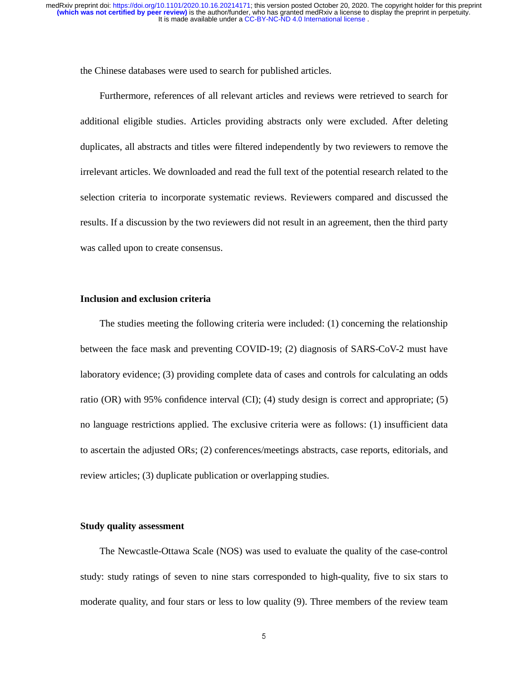the Chinese databases were used to search for published articles.

Furthermore, references of all relevant articles and reviews were retrieved to search for additional eligible studies. Articles providing abstracts only were excluded. After deleting duplicates, all abstracts and titles were filtered independently by two reviewers to remove the irrelevant articles. We downloaded and read the full text of the potential research related to the selection criteria to incorporate systematic reviews. Reviewers compared and discussed the results. If a discussion by the two reviewers did not result in an agreement, then the third party was called upon to create consensus.

## **Inclusion and exclusion criteria**

The studies meeting the following criteria were included: (1) concerning the relationship between the face mask and preventing COVID-19; (2) diagnosis of SARS-CoV-2 must have laboratory evidence; (3) providing complete data of cases and controls for calculating an odds ratio (OR) with 95% confidence interval (CI); (4) study design is correct and appropriate; (5) no language restrictions applied. The exclusive criteria were as follows: (1) insufficient data to ascertain the adjusted ORs; (2) conferences/meetings abstracts, case reports, editorials, and review articles; (3) duplicate publication or overlapping studies.

### **Study quality assessment**

The Newcastle-Ottawa Scale (NOS) was used to evaluate the quality of the case-control study: study ratings of seven to nine stars corresponded to high-quality, five to six stars to moderate quality, and four stars or less to low quality (9). Three members of the review team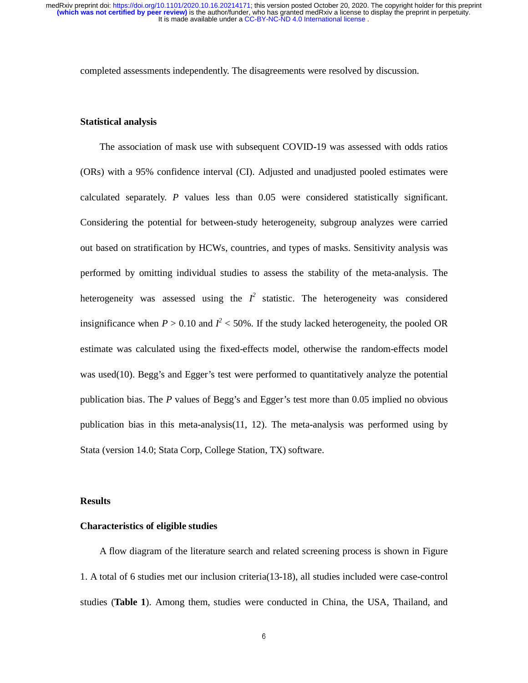completed assessments independently. The disagreements were resolved by discussion.

#### **Statistical analysis**

The association of mask use with subsequent COVID-19 was assessed with odds ratios (ORs) with a 95% confidence interval (CI). Adjusted and unadjusted pooled estimates were calculated separately. *P* values less than 0.05 were considered statistically significant. Considering the potential for between-study heterogeneity, subgroup analyzes were carried out based on stratification by HCWs, countries, and types of masks. Sensitivity analysis was performed by omitting individual studies to assess the stability of the meta-analysis. The heterogeneity was assessed using the  $I^2$  statistic. The heterogeneity was considered insignificance when  $P > 0.10$  and  $I^2 < 50\%$ . If the study lacked heterogeneity, the pooled OR estimate was calculated using the fixed-effects model, otherwise the random-effects model was used(10). Begg's and Egger's test were performed to quantitatively analyze the potential publication bias. The *P* values of Begg's and Egger's test more than 0.05 implied no obvious publication bias in this meta-analysis(11, 12). The meta-analysis was performed using by Stata (version 14.0; Stata Corp, College Station, TX) software.

#### **Results**

## **Characteristics of eligible studies**

A flow diagram of the literature search and related screening process is shown in Figure 1. A total of 6 studies met our inclusion criteria(13-18), all studies included were case-control studies (**Table 1**). Among them, studies were conducted in China, the USA, Thailand, and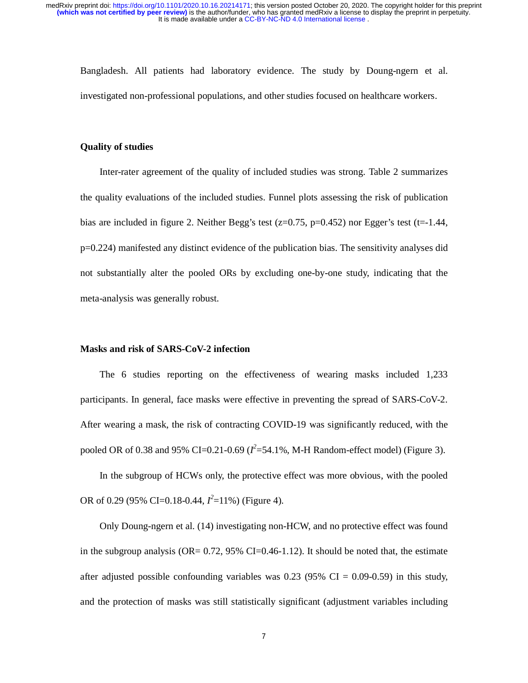Bangladesh. All patients had laboratory evidence. The study by Doung-ngern et al. investigated non-professional populations, and other studies focused on healthcare workers.

## **Quality of studies**

Inter-rater agreement of the quality of included studies was strong. Table 2 summarizes the quality evaluations of the included studies. Funnel plots assessing the risk of publication bias are included in figure 2. Neither Begg's test ( $z=0.75$ ,  $p=0.452$ ) nor Egger's test ( $t=-1.44$ , p=0.224) manifested any distinct evidence of the publication bias. The sensitivity analyses did not substantially alter the pooled ORs by excluding one-by-one study, indicating that the meta-analysis was generally robust.

# **Masks and risk of SARS-CoV-2 infection**

The 6 studies reporting on the effectiveness of wearing masks included 1,233 participants. In general, face masks were effective in preventing the spread of SARS-CoV-2. After wearing a mask, the risk of contracting COVID-19 was significantly reduced, with the pooled OR of 0.38 and 95% CI=0.21-0.69 ( $l^2$ =54.1%, M-H Random-effect model) (Figure 3).

In the subgroup of HCWs only, the protective effect was more obvious, with the pooled OR of 0.29 (95% CI=0.18-0.44, *I 2* =11%) (Figure 4).

Only Doung-ngern et al. (14) investigating non-HCW, and no protective effect was found in the subgroup analysis (OR=  $0.72$ , 95% CI=0.46-1.12). It should be noted that, the estimate after adjusted possible confounding variables was  $0.23$  (95% CI = 0.09-0.59) in this study, and the protection of masks was still statistically significant (adjustment variables including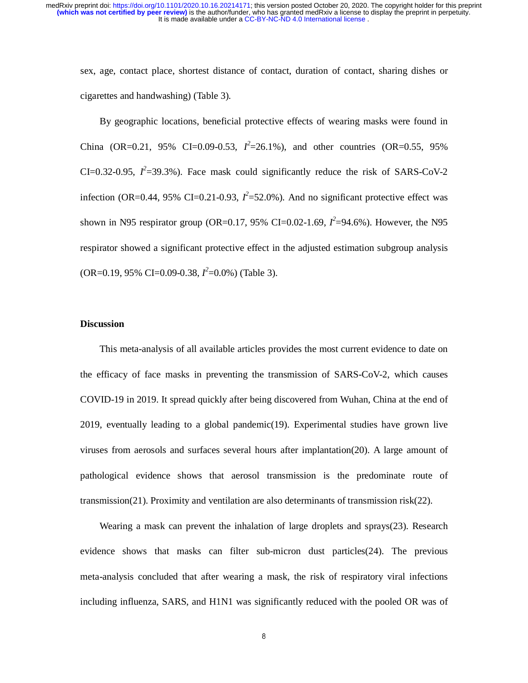sex, age, contact place, shortest distance of contact, duration of contact, sharing dishes or cigarettes and handwashing) (Table 3).

By geographic locations, beneficial protective effects of wearing masks were found in China (OR=0.21, 95% CI=0.09-0.53,  $I^2$ =26.1%), and other countries (OR=0.55, 95%) CI=0.32-0.95,  $I^2$ =39.3%). Face mask could significantly reduce the risk of SARS-CoV-2 infection (OR=0.44, 95% CI=0.21-0.93,  $I^2$ =52.0%). And no significant protective effect was shown in N95 respirator group (OR=0.17, 95% CI=0.02-1.69,  $I^2$ =94.6%). However, the N95 respirator showed a significant protective effect in the adjusted estimation subgroup analysis (OR=0.19, 95% CI=0.09-0.38, *I 2* =0.0%) (Table 3).

### **Discussion**

This meta-analysis of all available articles provides the most current evidence to date on the efficacy of face masks in preventing the transmission of SARS-CoV-2, which causes COVID-19 in 2019. It spread quickly after being discovered from Wuhan, China at the end of 2019, eventually leading to a global pandemic(19). Experimental studies have grown live viruses from aerosols and surfaces several hours after implantation(20). A large amount of pathological evidence shows that aerosol transmission is the predominate route of transmission(21). Proximity and ventilation are also determinants of transmission risk(22).

Wearing a mask can prevent the inhalation of large droplets and sprays(23). Research evidence shows that masks can filter sub-micron dust particles(24). The previous meta-analysis concluded that after wearing a mask, the risk of respiratory viral infections including influenza, SARS, and H1N1 was significantly reduced with the pooled OR was of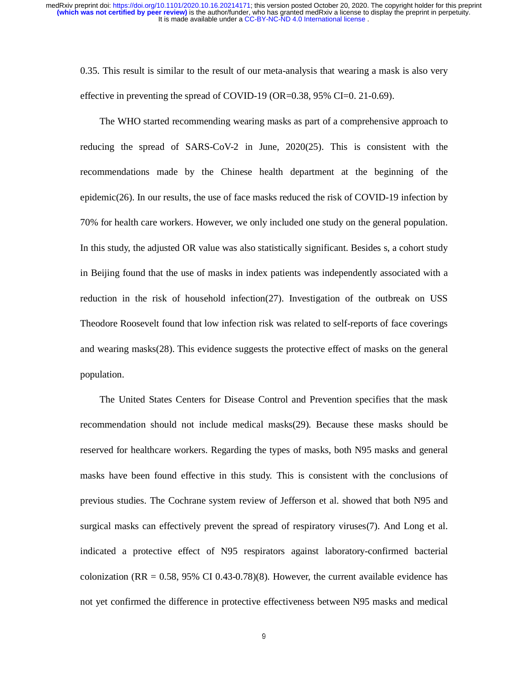0.35. This result is similar to the result of our meta-analysis that wearing a mask is also very effective in preventing the spread of COVID-19 (OR=0.38, 95% CI=0. 21-0.69).

The WHO started recommending wearing masks as part of a comprehensive approach to reducing the spread of SARS-CoV-2 in June, 2020(25). This is consistent with the recommendations made by the Chinese health department at the beginning of the epidemic(26). In our results, the use of face masks reduced the risk of COVID-19 infection by 70% for health care workers. However, we only included one study on the general population. In this study, the adjusted OR value was also statistically significant. Besides s, a cohort study in Beijing found that the use of masks in index patients was independently associated with a reduction in the risk of household infection(27). Investigation of the outbreak on USS Theodore Roosevelt found that low infection risk was related to self-reports of face coverings and wearing masks(28). This evidence suggests the protective effect of masks on the general population.

The United States Centers for Disease Control and Prevention specifies that the mask recommendation should not include medical masks(29). Because these masks should be reserved for healthcare workers. Regarding the types of masks, both N95 masks and general masks have been found effective in this study. This is consistent with the conclusions of previous studies. The Cochrane system review of Jefferson et al. showed that both N95 and surgical masks can effectively prevent the spread of respiratory viruses(7). And Long et al. indicated a protective effect of N95 respirators against laboratory-confirmed bacterial colonization (RR =  $0.58$ , 95% CI 0.43-0.78)(8). However, the current available evidence has not yet confirmed the difference in protective effectiveness between N95 masks and medical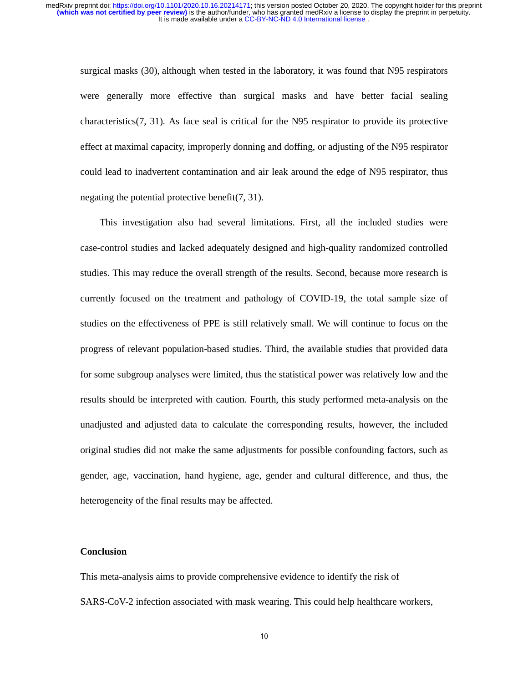surgical masks (30), although when tested in the laboratory, it was found that N95 respirators were generally more effective than surgical masks and have better facial sealing characteristics(7, 31). As face seal is critical for the N95 respirator to provide its protective effect at maximal capacity, improperly donning and doffing, or adjusting of the N95 respirator could lead to inadvertent contamination and air leak around the edge of N95 respirator, thus negating the potential protective benefit(7, 31).

This investigation also had several limitations. First, all the included studies were case-control studies and lacked adequately designed and high-quality randomized controlled studies. This may reduce the overall strength of the results. Second, because more research is currently focused on the treatment and pathology of COVID-19, the total sample size of studies on the effectiveness of PPE is still relatively small. We will continue to focus on the progress of relevant population-based studies. Third, the available studies that provided data for some subgroup analyses were limited, thus the statistical power was relatively low and the results should be interpreted with caution. Fourth, this study performed meta-analysis on the unadjusted and adjusted data to calculate the corresponding results, however, the included original studies did not make the same adjustments for possible confounding factors, such as gender, age, vaccination, hand hygiene, age, gender and cultural difference, and thus, the heterogeneity of the final results may be affected.

## **Conclusion**

This meta-analysis aims to provide comprehensive evidence to identify the risk of SARS-CoV-2 infection associated with mask wearing. This could help healthcare workers,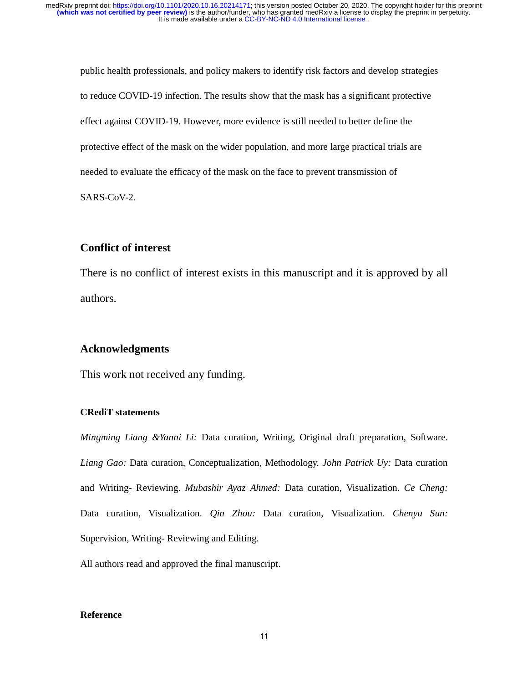public health professionals, and policy makers to identify risk factors and develop strategies to reduce COVID-19 infection. The results show that the mask has a significant protective effect against COVID-19. However, more evidence is still needed to better define the protective effect of the mask on the wider population, and more large practical trials are needed to evaluate the efficacy of the mask on the face to prevent transmission of SARS-CoV-2.

# **Conflict of interest**

There is no conflict of interest exists in this manuscript and it is approved by all authors.

## **Acknowledgments**

This work not received any funding.

## **CRediT statements**

*Mingming Liang &Yanni Li:* Data curation, Writing, Original draft preparation, Software. *Liang Gao:* Data curation, Conceptualization, Methodology. *John Patrick Uy:* Data curation and Writing- Reviewing. *Mubashir Ayaz Ahmed:* Data curation, Visualization. *Ce Cheng:* Data curation, Visualization. *Qin Zhou:* Data curation, Visualization. *Chenyu Sun:*  Supervision, Writing- Reviewing and Editing.

All authors read and approved the final manuscript.

## **Reference**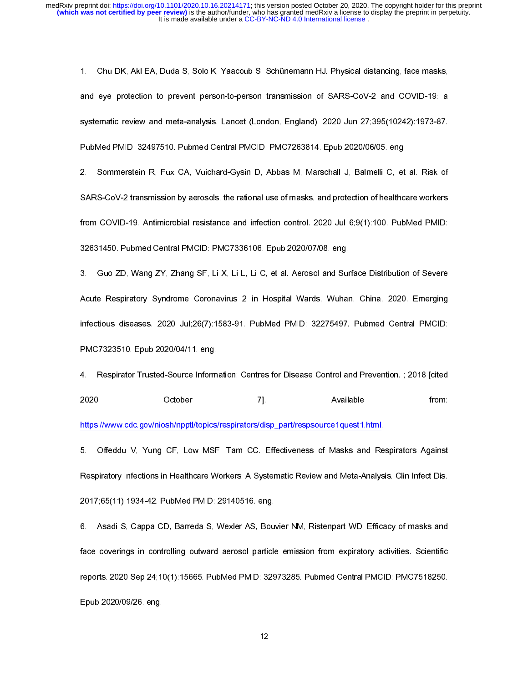1. Systematic review and meta-analysis. Lancet (London, England). 2020 Jun 27:395(10242):1973-87.<br>1. Systematic review and meta-analysis. Lancet (London, England). 2020 Jun 27:395(10242):1973-87.<br>1. PubMed PMID: 32497510. and PMD: 3263160. Published Central PMCID: PMC7263814. Epub 2020/06/05. eng.<br>
2. Sommerstein R. Fux CA. Vuichard-Gysin D. Abbas. M. Marschall J. Balmelli C. et al. Risk of<br>
3. Sommerstein R. Fux CA. Vuichard-Gysin D. Abbas PubMed PMID: 32497510. Putmed Central PMCID: PMC7263814. Epub 2020/06/05. eng.<br>2. Sommerstein R. Fux CA Vuichard-Gysin D. Abbas M. Marschall J. Balmelli C, et al. Risk of<br>SARS-CoV-2 transmission by aerosols, the rational u 2. Sommerstein R. Fux CA. Vuichard-Gysin D. Abbas M. Marschall J. Balmelli C. et<br>SARS-CoV-2 transmission by aerosols, the rational use of masks, and protection of healthcare<br>from COVID-19. Antimicrobial resistance and infe

2. SARS-CoV-2 transmission by aerosols, the rational use of masks, and protection of healthcare workers<br>
from COVID-19. Antimicrobial resistance and infection control. 2020 Jul 6,9(1):100. PubMed PMID:<br>
22631450. Pubmed Ce From COVID-19. Antimicrobial resistance and infection control. 2020 Jul 6:9(1):100. PubMed PMID:<br>32631450. Pubmed Central PMCID: PMC7336106. Epub 202007/08. eng.<br>3. Guo ZD. Wang ZY. Zhang SF, Li X, Li L, Li C, et al. Aeros 92631450. Pubmed Central PMCID: PMC7336106. Epub 2020/07/08. eng.<br>
3. Guo ZD, Wang ZY, Zhang SF, Li X, Li L, Li C, et al. Aerosol and Surface Distribution of Severe<br>
Acute Respiratory Syndrome Coronavius 2 in Hospital Ward 3. Guo ZD, Wang ZY, Zhang SF, Li X, Li L, Li C, et al. Aerosol and Sur<br>
Acute Respiratory Syndrome Coronavirus 2 in Hospital Wards, Wuhar<br>
infectious diseases. 2020 Jul;26(7):1583-91. PubMed PMID: 32275497.<br>
PMC7323510. Ep

Acute Respiratory Syndrome Coronavirus 2 in Hospital Wards. Wuhan. China. 2020. Emerging<br>Infectious diseases. 2020 Jul.26(7):1583-91. PubMed PMID: 32275497. Pubmed Central PMCID:<br>PMC7323510. Epub 2020/04/11. eng.<br>4. Respir infectious diseases. 2020 Jul/26(7):1583-91. PubMed PMID: 32275497. Pubmed Central PMCID:<br>PMC7323510. Epub 2020/04/11. eng.<br>4. Respirator Trusted-Source Information: Centres for Disease Control and Prevention. : 2018 [cite FMC7323510. Epub 2020/04/11. eng.<br>
4. Respirator Trusted-Source Information. Centres for Disease Control and Prevention. : 2018 [oited<br>
2020 October 7].<br>
2020 October 7].<br>
5. Offeddu V, Yung CF, Low MSF, Tam CC. Effectiven PMC7323510. Respirator Trusted-Source Inform<br>2020 October<br>https://www.cdc.gov/niosh/npptl/topics/<br>5. Offeddu V, Yung CF, Low MSF<br>Respiratory Infections in Healthcare W<br>2017;65(11):1934-42. PubMed PMID:<br>6. Asadi S, Cappa CD October 7]. Available from:<br>
https://www.cdc.gov/niosh/nppt//topics/respirators/disp\_part/respsource1quest1.html.<br>
5. Offeddu V, Yung CF. Low MSF. Tam CC. Effectiveness of Masks and Respirators Against<br>
Respiratory Infecti 2020<br>
2020 October 7: The C. Effectiveness of Masks and Respirators Against<br>
2017; Moreovinoship of F. Low MSF. Tam CC. Effectiveness of Masks and Respirators Against<br>
2017;65(11):1934-42. PubMed PMID: 29140516. eng.<br>
2017 Facebook Controllery Controllery Controllery Controllery Respiratory Infections in Healthcare Workers: A Systematic Review and Meta-Analysize 2017;65(11):1934-42. PubMed PMID: 29140516. eng.<br>6. Asadi S, Cappa CD, Barreda S Freepiratory Infections in Healthcare Workers: A Systematic Review and Meta-Analysis. Clin Infect Dis.<br>2017:65(11):1934-42. PubMed PMID: 29140516. eng.<br>6. Asadi S, Cappa CD, Barreda S, Wexler AS, Bouvier NM, Ristenpart WD. Respiratory Inferential Manufalthcare Workers: A Systematic Analysis. Characteristic Respirators: A Sadi S, Cappa CD, Barreda S, Wexler AS, Bouvier NM, Ristenpart WD. Efficacy of masks and face coverings in controlling out 2017;666. Asadi S, Cappa CD, Barreda S, Wexler AS, Bour<br>2020 face coverings in controlling outward aerosol particle<br>2020 Sep 24;10(1):15665. PubMed PMID: 329<br>2010/2020/09/26. eng. Face coverings in controlling outward aerosol particle emission from expiratory activities. Scientific<br>reports. 2020 Sep 24;10(1):15665. PubMed PMID: 32973285. Pubmed Central PMCID: PMC7518250.<br>Epub 2020/09/26. eng.<br>12 face coverings in community current and particle emission from expiratory and matter community<br>reports. 2020 Sep 24;10(1):15665. PubMed PMID: 32973285. Pubmed Central PMCID: PMC7518250.<br>Epub 2020/09/26. eng.<br>12  $\frac{20}{2}$ <br>Epub 2020/09/26. eng.<br> $\frac{12}{2}$ Epub 2020/09/26. eng.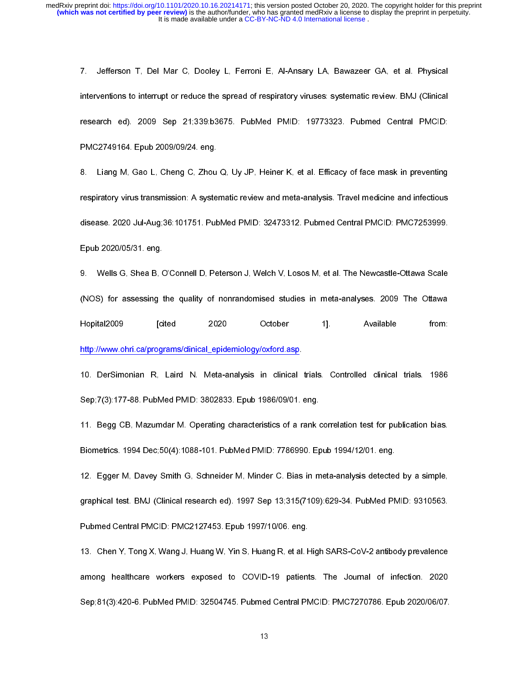The Ventilian Control of the Mar Control of the Mar Control of the Mar Control of the Mar Control of the Mar Control Central PMCID:<br>
PMC2749164. Epub 2009/09/24. eng.<br>
8. Liang M. Gao L. Cheng C. Zhou Q. Uy JP. Heiner K. e research ed). 2009 Sep 21:339:b3675. PubMed PMID: 19773323. Pubmed Central PMCID:<br>PMC2749164. Epub 2009/09/24. eng.<br>8. Liang M. Gao L. Cheng C. Zhou Q. Uy JP, Heiner K, et al. Efficacy of face mask in preventing<br>respirator RMC2749164. Epub 2009/09/24. eng.<br>
8. Liang M, Gao L, Cheng C, Zhou Q, Uy JP, Heiner K, et al. Efficacy of face mask in preventing<br>
respiratory virus transmission: A systematic review and meta-analysis. Travel medicine and 8. Liang M, Gao L, Cheng C, Zhou<br>respiratory virus transmission: A syste<br>disease. 2020 Jul-Aug;36:101751. Put<br>Epub 2020/05/31. eng.<br>9. Wells G, Shea B, O'Connell D, Pe<br>(NOS) for assessing the quality of<br>Hopital2009 [cited respiratory virus transmission: A systematic review and meta-analysis. Travel medicine and infectious<br>disease. 2020 Jul-Aug;36:101751. PubMed PMID: 32473312. Pubmed Central PMCID: PMC7253999.<br>Epub 2020/05/31. eng.<br>9. Wells respiratory 2020 Usi-Aug.36:101751. PubMed PMID: 32473312. Pubmed Central PMCID: PMC7253999.<br>Epub 2020/05/31. eng.<br>9. Wells G. Shea B. O'Connell D. Peterson J. Welch V, Losos M. et al. The Newcastle-Ottawa Scale<br>(NOS) for Epub 2020/05/31. eng.<br>3. Wells G, Shea B, O'Connell D, Peterson J, Welch V, Losos M, et al. The Newcastle-Ottawa Scale<br>4. (NOS) for assessing the quality of nonrandomised studies in meta-analyses. 2009 The Ottawa<br>4. Publis 9. Wells G, Shea B, C<br>(NOS) for assessing t<br>Hopital2009 [ci<br>http://www.ohri.ca/progre<br>10. DerSimonian R,<br>Sep;7(3):177-88. PubM<br>11. Begg CB, Mazumo<br>Biometrics. 1994 Dec;5<br>12. Egger M, Davey S<br>graphical test. BMJ (Cl<br>Pubmed 9. Wells G, Shea B, O'Connell D, Peterson J, Welch V, Losos M, et al. The Newcastle-Ottawa Scale<br>
(NOS) for assessing the quality of nonrandomised studies in meta-analyses. 2009 The Ottawa<br>
Hoptital2009 [cited 2020 October

10. DerSimonian R, Laird N. Meta-analysis in clinical<br>Sep;7(3):177-88. PubMed PMID: 3802833. Epub 1986/09/01.<br>11. Begg CB, Mazumdar M. Operating characteristics of a r.<br>Biometrics. 1994 Dec;50(4):1088-101. PubMed PMID: 778 Sepied Assembland M. Operating characteristics of a rank of Biometrics. 1994 Dec;50(4):1088-101. PubMed PMID: 7786990. Epub.<br>12. Egger M. Davey Smith G, Schneider M, Minder C. Bias in m<br>13. Enger M. Davey Smith G, Schneide 12. Egger M, Davey Smith G, Schneider M, Minder C. Bias in meta-analysis detected<br>
graphical test. BMJ (Clinical research ed). 1997 Sep 13;315(7109):629-34. PubMed PM<br>
Pubmed Central PMCID: PMC2127453. Epub 1997/10/06. eng

(Noting 2009 [cited 2020 October 1]. Available from:<br>http://www.chri.ca/programs/clinical\_epidemiology/oxford.asp.<br>10. DerSimonian R. Laird N. Meta-analysis in clinical trials. Controlled clinical trials. 1986<br>Sep:7(3):177 Hoppy Control Californical entertions and the United 2020 Controlled dinical trials. 1986<br>10. DerSimonian R. Laird N. Meta-analysis in clinical trials. Controlled clinical trials. 1986<br>1990:7(3):177-88. PubMed PMID: 380283 9. 17(3):177-88. PubMed PMID: 3802833. Epub 1986/09/01. eng.<br>11. Begg CB. Mazumdar M. Operating characteristics of a rank correlation test for publication bias.<br>10. Degg CB. Mazumdar M. Operating characteristics of a rank 11. Egger M, Davey Smith G, Schneider M, Minder C. Bias in meta-analysis detected by a simple,<br>12. Egger M, Davey Smith G, Schneider M, Minder C. Bias in meta-analysis detected by a simple,<br>13. Egger M, Davey Smith G, Schn 12. Egger M, Early Stame EV standard M, Minder C. Bias in meta-analysis detected by a single-<br>1997/1008. PubMed Central PMCID: PMC2127453. Epub 1997/10/06. eng.<br>13. Chen Y, Tong X, Wang J, Huang W, Yin S, Huang R, et al. H Pubmed Central PMCID: PMC2127453. Epub 1997/10/06. eng.<br>13. Chen Y, Tong X, Wang J, Huang W, Yin S, Huang R, et al. High SARS-CoV-2 antibody prevalence<br>among healthcare workers exposed to COVID-19 patients. The Journal of Published Central Politics Proton Protocology<br>
13. Chen Y, Tong X, Wang J, Huang W, Yin S, Huang R, et al. H<br>
28 among healthcare workers exposed to COVID-19 patient<br>
29 Sep; 81(3):420-6. PubMed PMID: 32504745. Pubmed Cent 111. Chen Y, Tong X, Hung Y, Huang Y, Huang A, Enling A, Enling R, Huang P, Huang B, Huang B, Huang P, Huang H<br>among healthcare workers exposed to COVID-19 patients. The Journal of infection. 2020<br>Sep;81(3):420-6. PubMed P among healthcare workers exposed to COVID-19 patients. The Journal of infection. 2020<br>Sep;81(3):420-6. PubMed PMID: 32504745. Pubmed Central PMCID: PMC7270786. Epub 2020/06/07.<br>13  $\begin{array}{c} \n 1.7 \quad \text{(3)}\ \end{array}$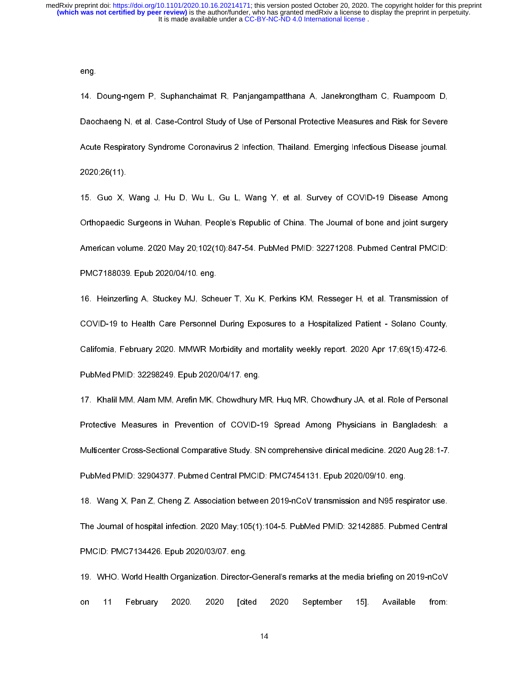eng.

14. |<br>14. |<br>Daoc<br>Acute<br>2020<br>15. |<br>Orthc<br>Amer<br>PMC<br>16. |<br>COV<br>Califc<br>Pub<br>17. | 14. Daochaeng N, et al. Case-Control Study of Use of Personal Protective Measures and Risk for Severe<br>
Acute Respiratory Syndrome Coronavirus 2 Infection, Thailand. Emerging Infectious Disease journal.<br>
14. 2020;26(11).<br>
1 Acute Respiratory Syndrome Coronavirus 2 Infection, Thailand. Emerging Infectious Disease journal.<br>2020;26(11).<br>15. Guo X. Wang J. Hu D. Wu L. Gu L. Wang Y. et al. Survey of COVID-19 Disease Among<br>Orthopaedic Surgeons in W 2020;26(11).<br>
15. Guo X, Wang J, Hu D, Wu L, Gu L, Wang Y, et al. Survey of COVID-19 Disease Among<br>
Ofthopaedic Surgeons in Wuhan, People's Republic of China. The Journal of bone and joint surgery<br>
American volume. 2020 Ma 15. Guo X,<br>Orthopaedic<br>American vol<br>PMC7188039<br>16. Heinzerli<br>COVID-19 to<br>California, Fe<br>PubMed PMII<br>17. Khalil MI<br>Protective M<br>Multicenter C<br>PubMed PMII

01. Onthopaedic Surgeons in Wuhan, People's Republic of China. The Journal of bone and joint surgery<br>American volume. 2020 May 20;102(10):847-54. PubMed PMID: 32271208. Pubmed Central PMCID:<br>PMC7188039. Epub 2020/04/10. on Orthopaedic Surgeons in Wuhan, People's Republic of China. The Journal of bone and joint surgery<br>American volume. 2020 May 20:102(10):847-54. PubMed PMID: 32271208. Putmed Central PMCID:<br>PMC7188039. Epub 2020/04/10. eng.<br>1 PMC7188039. Epub 2020/04/10. eng.<br>16. Heinzerling A, Stuckey MJ, Scheuer T, Xu K, Perkins KM, Resseger H, et al. Transmission of<br>COVID-19 to Health Care Personnel During Exposures to a Hospitalized Patient - Solano County, 16. Heinzerling A, Stuckey MJ, Sche<br>COVID-19 to Health Care Personnel<br>California, February 2020. MMWR Mc<br>PubMed PMID: 32298249. Epub 2020<br>17. Khalil MM, Alam MM, Arefin MK, C<br>Protective Measures in Prevention<br>Multicenter C

16. COVID-19 to Health Care Personnel During Exposures to a Hospitalized Patient - Solano County.<br>California, February 2020. MMWR Morbidity and mortality weekly report. 2020 Apr 17:69(15):472-8.<br>PubMed PMID: 32298249. Epub California, February 2020, MMWR Morbidity and mortality weekly report, 2020 Apr 17:69(15):472-6.<br>PubMed PMID: 32298249. Epub 2020/04/17. eng.<br>17. Khalil MM, Alam MM, Arefin MK, Chowdhury MR, Huq MR, Chowdhury JA, et al. Ro PubMed PMD: 32298249. Epub 2020/04/17. eng.<br>17. Khalii MM. Alam MM. Arefin MK. Chowdhury MR. Huq MR, Chowdhury JA, et al. Role of Personal<br>Protective Measures in Prevention of COVID-19 Spread Among Physicians in Bangladesh 17. Khalil MM, Alam MM, Arefin MK, Chowdhury Meriticity Measures in Prevention of COVID-1<br>
Multicenter Cross-Sectional Comparative Study. SI<br>
PubMed PMID: 32904377. Pubmed Central PMCID<br>
18. Wang X, Pan Z, Cheng Z. Associa 17. Protective Measures in Prevention of COVID-19 Spread Among Physicians in Bangladesh: a<br>
17. Multicenter Cross-Sectional Comparative Study. SN comprehensive clinical medicine. 2020 Aug 28:1-7.<br>
17. PubMed PMID: 32904377

Multicenter Cross-Sectional Comparative Study. SN comprehensive clinical medicine. 2020 Aug 28:1-7.<br>
PubMed PMID: 32904377. Pubmed Central PMCID: PMC7454131. Epub 2020/09/10. eng.<br>
18. Wang X, Pan Z, Cheng Z. Association b PubMed PMID: 32904377. Pubmed Central PMCID: PMC7454131. Epub 2020/09/10. eng.<br>
18. Wang X, Pan Z, Cheng Z. Association between 2019-nCoV transmission and N95 respirator use.<br>
19. WHO. World Health Organization. Director-G PubMed PMID: 1220004377. PubMed PMID: 32142885. PubMed PMID: 32142885. PubMed PMID: 92142885. Pubm<br>PMCID: PMC7134426. Epub 2020/03/07. eng.<br>PMCID: PMC7134426. Epub 2020/03/07. eng.<br>19. WHO. World Health Organization. Direc 18. The Journal of hospital infection. 2020 May;105(1):104-5. PubMed PMID: 32142885. Pubmed Central<br>
18. WHO. World Health Organization. Director-General's remarks at the media briefing on 2019-nCoV<br>
19. WHO. World Health

The Journal of Hospital Infection. 2020/03/07. Pubmed May 12. Pubmed PMID: PMC134426. Epub 2020/03/07. Pubmed Central is remarks at the media briefing on 2019-nCoV<br>19. WHO. World Health Organization. Director-General's rem PMCID: PMCID: PHC<br>19. WHO. World Health Organization. Director<br>11 February 2020. 2020 [cite<br>12. eng. 2020 [cite 19. WHO. World Health Organization. Director-General's remarks at the media briefing on 2019-nCoV<br>on 11 February 2020. 2020 [cited 2020 September 15]. Available from:<br>14 on 11 February 2020. 2020 [cited 2020 September 15]. Available from: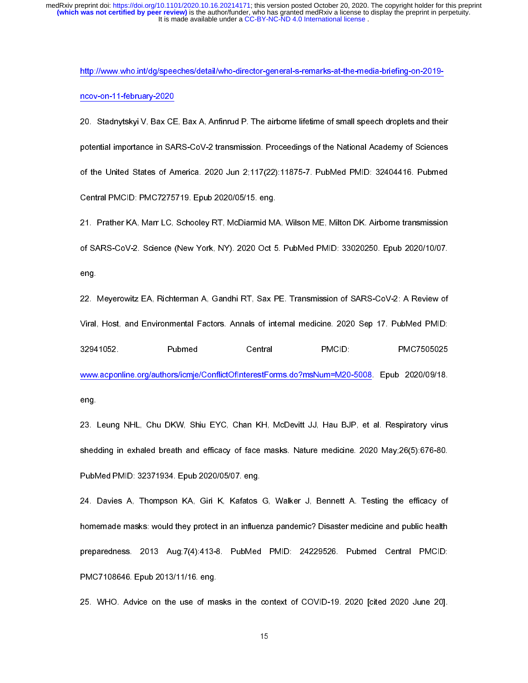http://www.acponline.org/authors/iomja/ConflictOfliteres/Forms.do?msNum=M20-5008. Epub 202009/19<br>http://www.acponline.org/speeches/detail/who-director-general-setter-general-setter-general-setter-general-set<br>of the United ncore and importance in SA<br>
20. Stadnytskyi V, Bax CE<br>
potential importance in SA<br>
6 f the United States of Ar<br>
Central PMCID: PMC7275<br>
21. Prather KA, Marr LC,<br>
of SARS-CoV-2. Science (<br>
eng.<br>
22. Meyerowitz EA, Richt<br>
Vi potential importance in SARS-CoV-2 transmission. Proceedings of the National Academy of Sciences<br>
of the United States of America. 2020 Jun 2:117(22):11875-7. PubMed PMID: 32404416. Pubmed<br>
Central PMCID: PMC7275719. Epub of the United States of America. 2020 Jun 2;117(22):11875-7. PubMed PMID: 32404416. Pubmed<br>Central PMCID: PMC7275719. Epub 2020/05/15. eng.<br>21. Prather KA. Marr LC, Schooley RT, McDiarmid MA. Wilson ME, Milton DK. Airborne Central PMCID: PMC7275719. Epub 2020/05/15. eng.<br>21. Prather KA, Marr LC, Schooley RT, McDiarmid MA, Wilson ME, Milton DK. Airborne transmission<br>of SARS-CoV-2. Science (New York, NY). 2020 Oct 5. PubMed PMID: 33020250. Epu 21. Prather KA, Marr LC, Schooley RT, McDiarmid M,<br>21. Prather KA, Marr LC, Schooley RT, McDiarmid M,<br>2020 Oct 5<br>22. Meyerowitz EA, Richterman A, Gandhi RT, Sax F<br>22. Meyerowitz EA, Richterman A, Gandhi RT, Sax F<br>22. Meyer 21. Mayerowitz EA Richterman A Gandhi RT. Sax PE. Transmission of SARS-CoV-2. A Review of<br>22. Mayerowitz EA Richterman A Gandhi RT. Sax PE. Transmission of SARS-CoV-2. A Review of<br>22. Mayerowitz EA Richterman A Gandhi RT. eng.<br>22. Meyerowitz EA. Richterman A. Gandhi RT, Sax PE. Transmission of SARS-CoV-2: A Review of<br>Viral, Host, and Environmental Factors. Annals of internal medicine. 2020 Sep 17. PubMed PMID:<br>2024 1052. Pubmed Central PMCI 22. IViral,<br>3294<br>www.<br>eng.<br>23. I<br>shed<br>Publ,<br>24. I<br>home<br>prepa Viral, Host, and Environmental Factors. Annals of internal medicine. 2020 Sep 17. PubMed PMID:<br>22941052. Pubmed Central PMCID: PMC7505025<br>www.acponline.org/authors/icmje/ConflictOffnterestForms.do?msNum=M20-5008. Epub 2020

S2941052. Pubmed Central PMCID: PMC7505025<br>
Viral, PMC7505025<br>
Programmental PMCID: PMC7505025<br>
Programmental Environmental Factors. And ENC. Channel MH, McDevitt JJ, Hau BJP, et al. Respiratory virus<br>
Shedding in exhaled Example org/authors/comje/ConflictOflittenstForms do?msNum=M20-5008. Epub 2020/09/18.<br>
1993. Leung NHL, Chu DKW, Shiu EYC, Chan KH, McDevitt JJ, Hau BJP, et al. Respiratory virus<br>
1993. Leung NHL, Chu DKW, Shiu EYC, Chan K ware considered in the DKW. Shiu EYC, Chan KH, McDevitt JJ, Hau BJP, et al. Respiratory virus<br>shedding in exhaled breath and efficacy of face masks. Nature medicine. 2020 May,26(5):676-80.<br>PubMed PMID: 32371934. Epub 2020/ eng.<br>23. I<br>shed<br>Publ\<br>24. I<br>home<br>prepa<br>PMC<br>25. I shedding in exhaled breath and efficacy of face masks. Nature medicine. 2020 May.26(5):676-80.<br>
PubMed PMID: 32371934. Epub 2020/05/07. eng.<br>
24. Davies A, Thompson KA, Giri K, Kafatos G, Walker J, Bennett A. Testing the e PubMed PMID: 32371934. Epub 2020/05/07. eng.<br>24. Davies A, Thompson KA, Giri K, Kafatos G, Walker J, Bennett A. Testing the efficacy of<br>homemade masks: would they protect in an influenza pandemic? Disaster medicine and pub PubMed PubMed PubMed PubMed PubMed Rasks: would they protect in an influer<br>Preparedness. 2013 Aug;7(4):413-8. PubMed<br>PMC7108646. Epub 2013/11/16. eng.<br>25. WHO. Advice on the use of masks in the of 24. David Momemade masks: would they protect in an influenza pandemic? Disaster medicine and public health<br>preparedness. 2013 Aug:7(4):413-8. PubMed PMID: 24229526. Pubmed Central PMCID:<br>PMC7108646. Epub 2013/11/16. eng.<br>2 homemade masks: 2013 Aug;7(4):413-8. PubMed PMID: 24229526. Pubmed Central PMCID:<br>PMC7108646. Epub 2013/11/16. eng.<br>25. WHO. Advice on the use of masks in the context of COVID-19. 2020 [cited 2020 June 20].<br>15 preparedness. 2013/11/16. eng.<br>PMC7108646. Epub 2013/11/16. eng.<br>25. WHO. Advice on the use of masks in the context of COVID-19. 2020 [cited 2020 June 20].

PMC7108644<sub>4</sub>. Epub 2014. Eng. 2014. Eng. 2014. Eng. 2014. Eng. 2014. Eng. 2014. Eng. 2014. Eng. 2014. Eng. 2014. E  $25.3\%$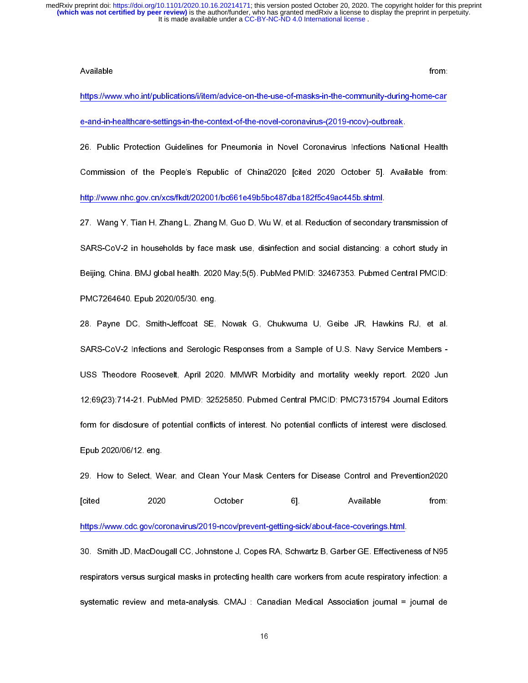from:

https://www.who.int/publications/i/tem/advice-on-the-use-of-masks-in-the-community-during-home-care-<br>
4-and-in-healthcare-settings-in-the-context-of-the-novel-coronavirus-(2019-novy)-outbreak.<br>
26. Public Protection Guidel e-and-in-healthcare-settings-in-the-context-of-the-novel-coronavirus-(2019-novv)-outbreak.<br>26. Public Protection Guidelines for Pneumonia in Novel Coronavirus-(2019-novv)-outbreak.<br>26. Public Protection Guidelines for Pneu e-and-in-healthcare-setting-in-healthcare-setting-in-healthcare-setting-of-the-novel-coronavirus-Infections-Natio<br>Commission of the People's Republic of China2020 [cited 2020 October 5]. Avail<br>http://www.nhc.gov.ch/xss/fkd Commission of the People's Republic of China2020 (cited 2020 October 5). Available from:<br>http://www.nhc.gov.cn/xcs/fkdt/202001/bc661e49b5bc487dba182f5c49ac445b.shtml.<br>27. Wang Y. Tian H. Zhang L. Zhang M. Guo D. Wu W. et a Commission of the People's Republic of China2020 [cited 2020 October 5]. Available from:<br>
http://www.nhc.gov.cn/xcs/fkdt/202001/bc661e49b5bc487dba182f5c49ac445b.shtml.<br>
27. Wang Y, Tian H, Zhang L, Zhang M, Guo D, Wu W, et The Warry Translate and Marcus Care and Marcus Care and Social distancing:<br>12. Wang Y, Tian H, Zhang L, Zhang M, Guo D, Wu W, et al. Reduction of secondar<br>126 Beijing, China. BMJ global health. 2020 May:5(5). PubMed PMID: 27. Wang Y, Tian H, Zhang L, Zhang M, Guo D, Wu W, et al. Reduction of secondary transmission of Beijing, China, BMJ global health, 2020 May,5(5), PubMed PMID: 32467353. Pubmed Central PMCID:<br>PMC7264640. Epub 2020/05/30. eng.<br>28. Payne DC, Smith-Jeffcoat SE, Nowak G, Chukwuma U, Gelbe JR, Hawkins RJ, et al.<br>3ARS-CoV-2 BMC7264640. Epub 2020/05/30. eng.<br>
28. Payne DC, Smith-Jeffcoat SE, Nowak G, Chukwuma U, Geibe JR, Hawkins RJ, et al.<br>
SARS-CoV-2 Infections and Serologic Responses from a Sample of U.S. Navy Service Members<br>
1985 Theodore 28. Payne DC, Smith-Jeffcoat SE,<br>SARS-CoV-2 Infections and Serologic<br>USS Theodore Roosevelt, April 202<br>12;69(23):714-21. PubMed PMID: 325<br>form for disclosure of potential conflic<br>Epub 2020/06/12. eng.<br>29. How to Select, We 28. Payle interest and Serologic Responses from a Sample of U.S. Navy Service Members<br>28. Theodore Roosevelt, April 2020. MMWR Morbidity and mortality weekly report. 2020 Jun<br>29. Payne Roosevelt, April 2020. MMWR Morbidity USS Theodore Roosevelt, April 2020. MMWR Morbidity and mortality weekly report. 2020 Jund 12:69(23):714-21. PubMed PMID: 32525850. Pubmed Central PMCID: PMC7315794 Journal Editors<br>
form for disclosure of potential conflict 12,69(23):714-21. PubMed PMID: 32525850. Pubmed Central PMCID: PMC7315794 Journal Editors<br>
form for disclosure of potential conflicts of interest. No potential conflicts of interest were disclosed.<br>
Epub 2020/06/12. eng.<br>

12:59,20006/12; eng.<br>12:69,2020/06/12; eng.<br>12:69,2020/06/12; eng.<br>12:69,2020/06/12; eng.<br>12:69,2020/06/12; eng.<br>12:69,2020 October eng.<br>12:69,2020 October eng.<br>14:11/15://www.odc.gov/ooronavirus/2019-noov/prevent-gettingform for disclosure of potential conflicts of interest. No potential conflicts of interest were disclosed. 29. How to Select, We<br>
[cited 2020<br>
https://www.cdc.gov/com<br>
30. Smith JD, MacDou<br>
respirators versus surgi<br>
systematic review and 2020 October 6]. Available from:<br>
2020 October 6]. Available from:<br>
29. Https://www.cdc.gov/coronavirus/2019-ncov/prevent-getting-sick/about-face-coverings.html.<br>
30. Smith JD, MacDougall CC, Johnstone J, Copes RA, Schwart https://www.cdc.gov/coronavirus/2019-ncov/prevent-getting-sick/about-face-coverings.html.<br>30. Smith JD, MacDougall CC, Johnstone J, Copes RA, Schwartz B, Garber GE. Effectiveness of N95<br>respirators versus surgical masks in and Softwarf Coronavirus Coronavirus Coronavirus Coronavirus Coronavirus Coronavirus Coronavirus Softwartz B, Garber GE. Effectiven<br>respirators versus surgical masks in protecting health care workers from acute respiratory Free Summary (MacDougall Comparison) or Summary Summary Summary Summary Summary Summary Summary Summary Summar<br>
Summary Summary Summary Summary Summary Summary Summary Summary Summary Summary Summary Summary Summary Summar respirators versus surgical masks in protecting health care workers from acute respiratory infection.<br>Systematic review and meta-analysis. CMAJ: Canadian Medical Association journal = journal de<br>16 systematic review and meta-analysis. CMAJ : Canadian Medical Association journal = journal de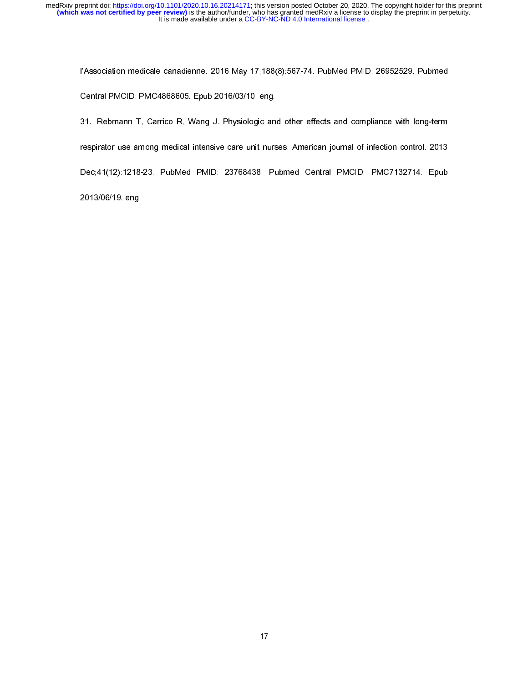l'Association medicale canadienne. 2016 May 17;188(8):567-74. PubMed PMID: 26952529. Pubmed<br>Central PMCID: PMC4868605. Epub 2016/03/10. eng.<br>31. Rebmann T. Carrico R. Wang J. Physiologic and other effects and compliance wi 31. Rebmann T, Carrico R, Wang J. Physiologic and<br>respirator use among medical intensive care unit nurs<br>Dec;41(12):1218-23. PubMed PMID: 23768438. Pu<br>2013/06/19. eng. spirator use among medical intensive care unit nurses. American journal of infection control. 2013<br>Dec:41(12):1218-23. PubMed PMID: 23768438. Pubmed Central PMCID: PMC7132714. Epub<br>2013/06/19. eng. respirator use among medical intensive care unit nurses. Among medical intensity intensity intensity intensity<br>2013/06/19. eng.<br>2013/06/19. eng. Dec;41(12):1218-23. PubMed PMID: 23768438. Pubmed Central PMCID: PMC7132714. Epub

2013/06/19. eng.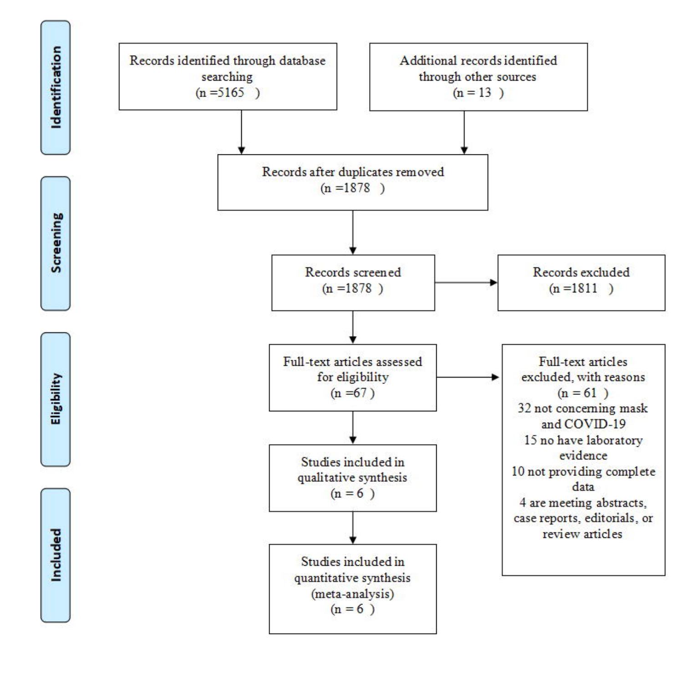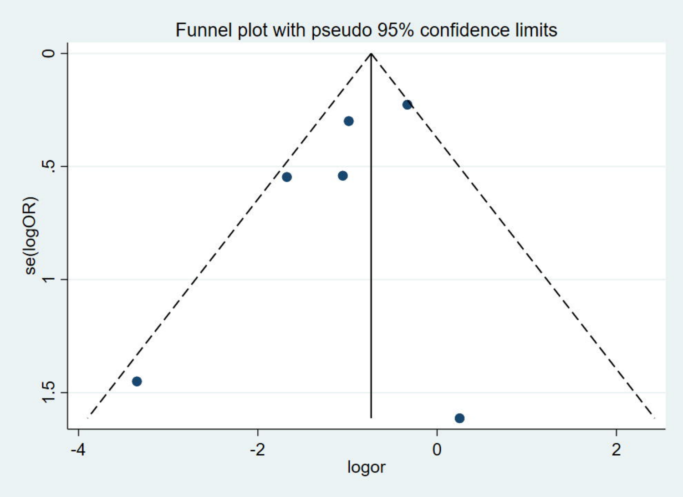Funnel plot with pseudo 95% confidence limits

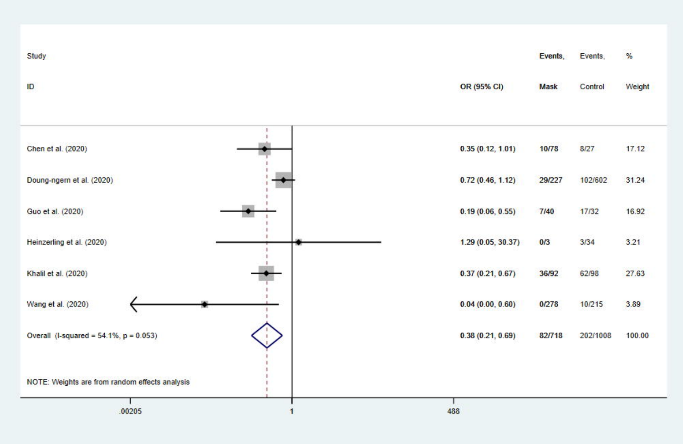